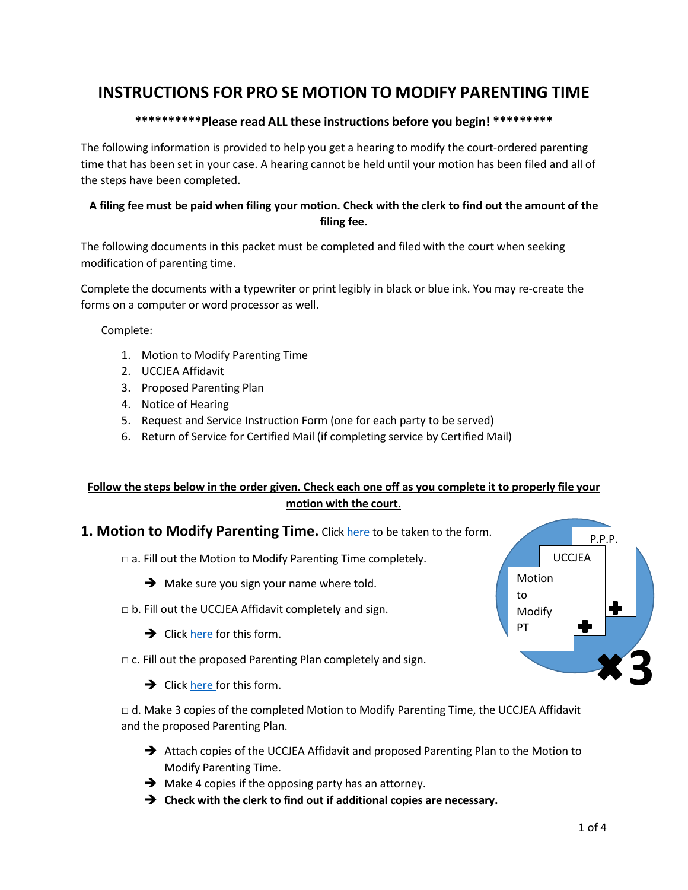# **INSTRUCTIONS FOR PRO SE MOTION TO MODIFY PARENTING TIME**

### **\*\*\*\*\*\*\*\*\*\*Please read ALL these instructions before you begin! \*\*\*\*\*\*\*\*\***

The following information is provided to help you get a hearing to modify the court-ordered parenting time that has been set in your case. A hearing cannot be held until your motion has been filed and all of the steps have been completed.

## **A filing fee must be paid when filing your motion. Check with the clerk to find out the amount of the filing fee.**

The following documents in this packet must be completed and filed with the court when seeking modification of parenting time.

Complete the documents with a typewriter or print legibly in black or blue ink. You may re-create the forms on a computer or word processor as well.

Complete:

- 1. Motion to Modify Parenting Time
- 2. UCCJEA Affidavit
- 3. Proposed Parenting Plan
- 4. Notice of Hearing
- 5. Request and Service Instruction Form (one for each party to be served)
- 6. Return of Service for Certified Mail (if completing service by Certified Mail)

## **Follow the steps below in the order given. Check each one off as you complete it to properly file your motion with the court.**

## **1. Motion to Modify Parenting Time.** Clic[k here](http://www.kansasjudicialcouncil.org/legal-forms/child-support-parenting-time/modifying-parenting-time/motion-modify-parenting-time) to be taken to the form.

□ a. Fill out the Motion to Modify Parenting Time completely.

- $\rightarrow$  Make sure you sign your name where told.
- $\Box$  b. Fill out the UCCJEA Affidavit completely and sign.
	- $\rightarrow$  Click [here](http://www.kansasjudicialcouncil.org/legal-forms/child-support-parenting-time/modifying-parenting-time/uccjea-affidavit) for this form.
- $\Box$  c. Fill out the proposed Parenting Plan completely and sign.

 $\rightarrow$  Click [here](http://www.kansasjudicialcouncil.org/legal-forms/child-support-parenting-time/modifying-parenting-time/proposed-parenting-plan) for this form.

□ d. Make 3 copies of the completed Motion to Modify Parenting Time, the UCCJEA Affidavit and the proposed Parenting Plan.

- → Attach copies of the UCCJEA Affidavit and proposed Parenting Plan to the Motion to Modify Parenting Time.
- $\rightarrow$  Make 4 copies if the opposing party has an attorney.
- **Check with the clerk to find out if additional copies are necessary.**

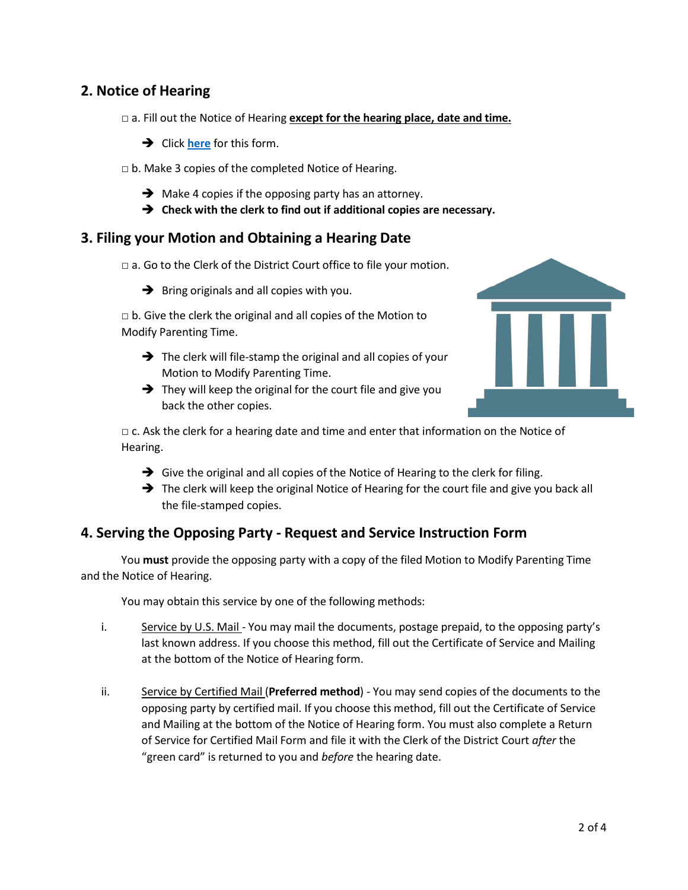# **2. Notice of Hearing**

□ a. Fill out the Notice of Hearing **except for the hearing place, date and time.**

- **→** Click **[here](http://www.kansasjudicialcouncil.org/legal-forms/child-support-parenting-time/modifying-parenting-time/notice-hearing)** for this form.
- $\Box$  b. Make 3 copies of the completed Notice of Hearing.
	- $\rightarrow$  Make 4 copies if the opposing party has an attorney.
	- **Check with the clerk to find out if additional copies are necessary.**

## **3. Filing your Motion and Obtaining a Hearing Date**

 $\Box$  a. Go to the Clerk of the District Court office to file your motion.

 $\rightarrow$  Bring originals and all copies with you.

 $\Box$  b. Give the clerk the original and all copies of the Motion to Modify Parenting Time.

- $\rightarrow$  The clerk will file-stamp the original and all copies of your Motion to Modify Parenting Time.
- $\rightarrow$  They will keep the original for the court file and give you back the other copies.



□ c. Ask the clerk for a hearing date and time and enter that information on the Notice of Hearing.

- $\rightarrow$  Give the original and all copies of the Notice of Hearing to the clerk for filing.
- $\rightarrow$  The clerk will keep the original Notice of Hearing for the court file and give you back all the file-stamped copies.

# **4. Serving the Opposing Party - Request and Service Instruction Form**

You **must** provide the opposing party with a copy of the filed Motion to Modify Parenting Time and the Notice of Hearing.

You may obtain this service by one of the following methods:

- i. Service by U.S. Mail You may mail the documents, postage prepaid, to the opposing party's last known address. If you choose this method, fill out the Certificate of Service and Mailing at the bottom of the Notice of Hearing form.
- ii. Service by Certified Mail (Preferred method) You may send copies of the documents to the opposing party by certified mail. If you choose this method, fill out the Certificate of Service and Mailing at the bottom of the Notice of Hearing form. You must also complete a Return of Service for Certified Mail Form and file it with the Clerk of the District Court *after* the "green card" is returned to you and *before* the hearing date.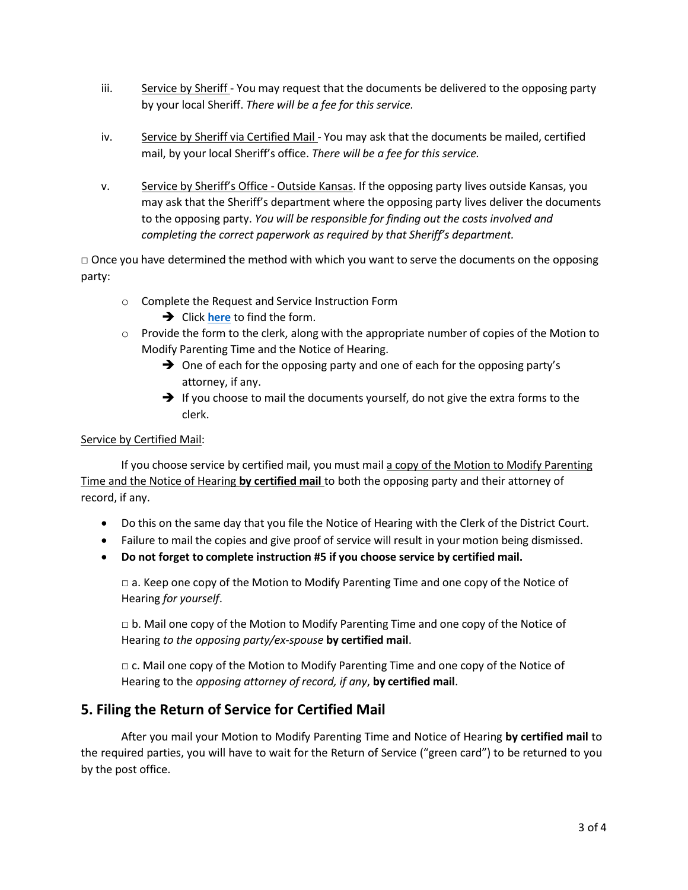- iii. Service by Sheriff You may request that the documents be delivered to the opposing party by your local Sheriff. *There will be a fee for this service.*
- iv. Service by Sheriff via Certified Mail You may ask that the documents be mailed, certified mail, by your local Sheriff's office. *There will be a fee for this service.*
- v. Service by Sheriff's Office Outside Kansas. If the opposing party lives outside Kansas, you may ask that the Sheriff's department where the opposing party lives deliver the documents to the opposing party. *You will be responsible for finding out the costs involved and completing the correct paperwork as required by that Sheriff's department.*

 $\Box$  Once you have determined the method with which you want to serve the documents on the opposing party:

- o Complete the Request and Service Instruction Form
	- **→** Click **[here](http://www.kansasjudicialcouncil.org/legal-forms/child-support-parenting-time/modifying-parenting-time/request-and-service-instructions)** to find the form.
- $\circ$  Provide the form to the clerk, along with the appropriate number of copies of the Motion to Modify Parenting Time and the Notice of Hearing.
	- $\rightarrow$  One of each for the opposing party and one of each for the opposing party's attorney, if any.
	- $\rightarrow$  If you choose to mail the documents yourself, do not give the extra forms to the clerk.

### Service by Certified Mail:

If you choose service by certified mail, you must mail a copy of the Motion to Modify Parenting Time and the Notice of Hearing **by certified mail** to both the opposing party and their attorney of record, if any.

- Do this on the same day that you file the Notice of Hearing with the Clerk of the District Court.
- Failure to mail the copies and give proof of service will result in your motion being dismissed.
- **Do not forget to complete instruction #5 if you choose service by certified mail.**

 $\Box$  a. Keep one copy of the Motion to Modify Parenting Time and one copy of the Notice of Hearing *for yourself*.

 $\Box$  b. Mail one copy of the Motion to Modify Parenting Time and one copy of the Notice of Hearing *to the opposing party/ex-spouse* **by certified mail**.

 $\Box$  c. Mail one copy of the Motion to Modify Parenting Time and one copy of the Notice of Hearing to the *opposing attorney of record, if any*, **by certified mail**.

# **5. Filing the Return of Service for Certified Mail**

After you mail your Motion to Modify Parenting Time and Notice of Hearing **by certified mail** to the required parties, you will have to wait for the Return of Service ("green card") to be returned to you by the post office.